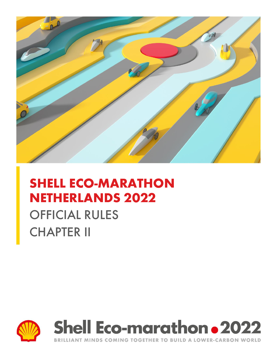

# **SHELL ECO-MARATHON NETHERLANDS 2022**

# OFFICIAL RULES CHAPTER II





BRILLIANT MINDS COMING TOGETHER TO BUILD A LOWER-CARBON WORLD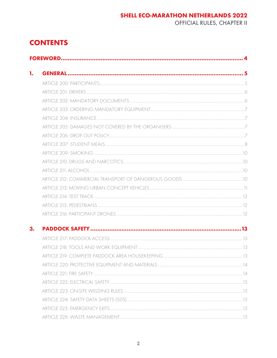### **SHELL ECO-MARATHON NETHERLANDS 2022**

**OFFICIAL RULES, CHAPTER II** 

# **CONTENTS**

| 1. |  |  |  |
|----|--|--|--|
|    |  |  |  |
|    |  |  |  |
|    |  |  |  |
|    |  |  |  |
|    |  |  |  |
|    |  |  |  |
|    |  |  |  |
|    |  |  |  |
|    |  |  |  |
|    |  |  |  |
|    |  |  |  |
|    |  |  |  |
|    |  |  |  |
|    |  |  |  |
|    |  |  |  |
|    |  |  |  |
| 3. |  |  |  |
|    |  |  |  |
|    |  |  |  |
|    |  |  |  |
|    |  |  |  |
|    |  |  |  |
|    |  |  |  |
|    |  |  |  |
|    |  |  |  |
|    |  |  |  |
|    |  |  |  |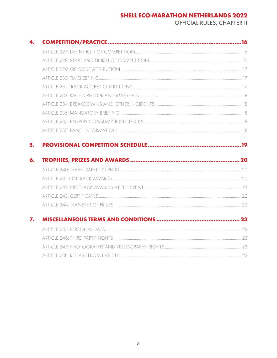### **SHELL ECO-MARATHON NETHERLANDS 2022**

OFFICIAL RULES, CHAPTER II

<span id="page-3-0"></span>

| 4. |  |
|----|--|
|    |  |
|    |  |
|    |  |
|    |  |
|    |  |
|    |  |
|    |  |
|    |  |
|    |  |
|    |  |
| 6. |  |
|    |  |
|    |  |
|    |  |
|    |  |
|    |  |
|    |  |
| 7. |  |
|    |  |
|    |  |
|    |  |
|    |  |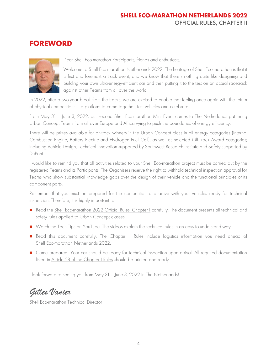# **FOREWORD**



Dear Shell Eco-marathon Participants, friends and enthusiasts,

Welcome to Shell Eco-marathon Netherlands 2022! The heritage of Shell Eco-marathon is that it is first and foremost a track event, and we know that there's nothing quite like designing and building your own ultra-energy-efficient car and then putting it to the test on an actual racetrack against other Teams from all over the world.

In 2022, after a two-year break from the tracks, we are excited to enable that feeling once again with the return of physical competitions – a platform to come together, test vehicles and celebrate.

From May 31 – June 3, 2022, our second Shell Eco-marathon Mini Event comes to The Netherlands gathering Urban Concept Teams from all over Europe and Africa vying to push the boundaries of energy efficiency.

There will be prizes available for on-track winners in the Urban Concept class in all energy categories (Internal Combustion Engine, Battery Electric and Hydrogen Fuel Cell), as well as selected Off-Track Award categories; including Vehicle Design, Technical Innovation supported by Southwest Research Institute and Safety supported by DuPont.

I would like to remind you that all activities related to your Shell Eco-marathon project must be carried out by the registered Teams and its Participants. The Organisers reserve the right to withhold technical inspection approval for Teams who show substantial knowledge gaps over the design of their vehicle and the functional principles of its component parts.

Remember that you must be prepared for the competition and arrive with your vehicles ready for technical inspection. Therefore, it is highly important to:

- Read the [Shell Eco-marathon 2022 Official Rules, Chapter I](https://www.makethefuture.shell/en-gb/shell-eco-marathon/global-rules) carefully. The document presents all technical and safety rules applied to Urban Concept classes.
- [Watch the Tech Tips on YouTube.](https://www.youtube.com/playlist?list=PLEPIVJVCFQH3q4PLtFAsJujpELu0ywmpS) The videos explain the technical rules in an easy-to-understand way.
- Read this document carefully. The Chapter II Rules include logistics information you need ahead of Shell Eco-marathon Netherlands 2022.
- Come prepared! Your car should be ready for technical inspection upon arrival. All required documentation listed in [Article 58 of the Chapter I Rules](https://base.makethefuture.shell/en_gb/service/api/home/shell-eco-marathon/global-rules/_jcr_content/root/content/document_listing/items/download_595134961.stream/1630485146156/38a7abe7331aaa24603d0e8b158565cc726ab78d/shell-eco-marathon-2022-official-rules-chapter-i.pdf) should be printed and ready.

I look forward to seeing you from May 31 – June 3, 2022 in The Netherlands!

*Gilles Vanier*

Shell Eco-marathon Technical Director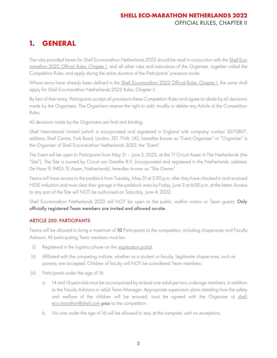# <span id="page-5-0"></span>**1. GENERAL**

The rules provided herein for Shell Eco-marathon Netherlands 2022 should be read in conjunction with the [Shell Eco](https://base.makethefuture.shell/en_gb/service/api/home/shell-eco-marathon/global-rules/_jcr_content/root/content/document_listing/items/download_595134961.stream/1630485146156/38a7abe7331aaa24603d0e8b158565cc726ab78d/shell-eco-marathon-2022-official-rules-chapter-i.pdf)[marathon 2022 Official Rules, Chapter I,](https://base.makethefuture.shell/en_gb/service/api/home/shell-eco-marathon/global-rules/_jcr_content/root/content/document_listing/items/download_595134961.stream/1630485146156/38a7abe7331aaa24603d0e8b158565cc726ab78d/shell-eco-marathon-2022-official-rules-chapter-i.pdf) and all other rules and instructions of the Organiser, together called the Competition Rules, and apply during the entire duration of the Participants' presence onsite.

Where terms have already been defined in the [Shell Eco-marathon 2022 Official Rules, Chapter I,](https://base.makethefuture.shell/en_gb/service/api/home/shell-eco-marathon/global-rules/_jcr_content/root/content/document_listing/items/download_595134961.stream/1630485146156/38a7abe7331aaa24603d0e8b158565cc726ab78d/shell-eco-marathon-2022-official-rules-chapter-i.pdf) the same shall apply for Shell Eco-marathon Netherlands 2022 Rules, Chapter II.

By fact of their entry, Participants accept all provisions these Competition Rules and agree to abide by all decisions made by the Organisers. The Organisers reserve the right to add, modify or delete any Article of the Competition Rules.

All decisions made by the Organisers are final and binding.

Shell International Limited (which is incorporated and registered in England with company number 3075807, address: Shell Centre, York Road, London, SE1 7NA, UK), hereafter known as "Event Organiser" or "Organiser" is the Organiser of Shell Eco-marathon Netherlands 2022, the "Event".

The Event will be open to Participants from May 31 – June 3, 2022, at the TT Circuit Assen in The Netherlands (the "Site"). The Site is owned by Circuit van Drenthe B.V. (incorporated and registered in the Netherlands, address: De Haar 9, 9405 TE Assen, Netherlands), hereafter known as "Site Owner".

Teams will have access to the paddock from Tuesday, May 31 at 2:00 p.m. after they have checked in and received HSSE induction and must clear their garage in the paddock area by Friday, June 3 at 6:00 p.m. at the latest. Access to any part of the Site will NOT be authorised on Saturday, June 4, 2022.

Shell Eco-marathon Netherlands 2022 will NOT be open to the public, walk-in visitors or Team guests. Only officially registered Team members are invited and allowed on-site.

#### <span id="page-5-1"></span>ARTICLE 200: PARTICIPANTS

Teams will be allowed to bring a maximum of 10 Participants to the competition, including chaperones and Faculty Advisors. All participating Team members must be:

- (i) Registered in the logistics phase on the [registration portal;](https://register.makethefuture.shell/)
- (ii) Affiliated with the competing institute, whether as a student or faculty. Legitimate chaperones, such as parents, are accepted. Children of faculty will NOT be considered Team members;
- (iii) Participants under the age of 16.
	- a. 14 and 15-year-olds must be accompanied by at least one adult per two underage members, in addition to the Faculty Advisors or adult Team Manager. Appropriate supervision plans detailing how the safety and welfare of the children will be ensured, must be agreed with the Organiser at [shell](mailto:shell-eco.marathon@shell.com)[eco.marathon@shell.com](mailto:shell-eco.marathon@shell.com) prior to the competition.
	- b. No one under the age of 16 will be allowed to stay at the campsite, with no exceptions.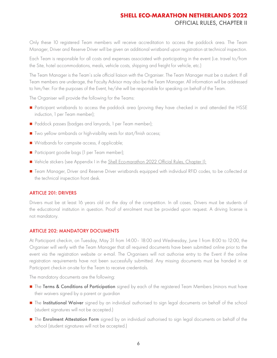Only these 10 registered Team members will receive accreditation to access the paddock area. The Team Manager, Driver and Reserve Driver will be given an additional wristband upon registration at technical inspection.

Each Team is responsible for all costs and expenses associated with participating in the event (i.e. travel to/from the Site, hotel accommodations, meals, vehicle costs, shipping and freight for vehicle, etc.)

The Team Manager is the Team's sole official liaison with the Organiser. The Team Manager must be a student. If all Team members are underage, the Faculty Advisor may also be the Team Manager. All information will be addressed to him/her. For the purposes of the Event, he/she will be responsible for speaking on behalf of the Team.

The Organiser will provide the following for the Teams:

- Participant wristbands to access the paddock area (proving they have checked in and attended the HSSE induction, 1 per Team member);
- Paddock passes (badges and lanyards, 1 per Team member);
- Two yellow armbands or high-visibility vests for start/finish access;
- Wristbands for campsite access, if applicable;
- Participant goodie bags (1 per Team member);
- Vehicle stickers (see Appendix I in the [Shell Eco-marathon 2022 Official Rules, Chapter I\)](https://base.makethefuture.shell/en_gb/service/api/home/shell-eco-marathon/global-rules/_jcr_content/root/content/document_listing/items/download_595134961.stream/1630485146156/38a7abe7331aaa24603d0e8b158565cc726ab78d/shell-eco-marathon-2022-official-rules-chapter-i.pdf);
- Team Manager, Driver and Reserve Driver wristbands equipped with individual RFID codes, to be collected at the technical inspection front desk.

#### <span id="page-6-0"></span>ARTICLE 201: DRIVERS

Drivers must be at least 16 years old on the day of the competition. In all cases, Drivers must be students of the educational institution in question. Proof of enrolment must be provided upon request. A driving license is not mandatory.

#### <span id="page-6-1"></span>ARTICLE 202: MANDATORY DOCUMENTS

At Participant check-in, on Tuesday, May 31 from 14:00– 18:00 and Wednesday, June 1 from 8:00 to 12:00, the Organiser will verify with the Team Manager that all required documents have been submitted online prior to the event via the registration website or e-mail. The Organisers will not authorise entry to the Event if the online registration requirements have not been successfully submitted. Any missing documents must be handed in at Participant check-in on-site for the Team to receive credentials.

The mandatory documents are the following:

- The Terms & Conditions of Participation signed by each of the registered Team Members (minors must have their waivers signed by a parent or guardian
- The Institutional Waiver signed by an individual authorised to sign legal documents on behalf of the school (student signatures will not be accepted.)
- The Enrolment Attestation Form signed by an individual authorised to sign legal documents on behalf of the school (student signatures will not be accepted.)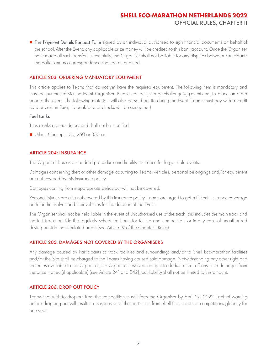■ The Payment Details Request Form signed by an individual authorised to sign financial documents on behalf of the school. After the Event, any applicable prize money will be credited to this bank account. Once the Organiser have made all such transfers successfully, the Organiser shall not be liable for any disputes between Participants thereafter and no correspondence shall be entertained.

#### <span id="page-7-0"></span>ARTICLE 203: ORDERING MANDATORY EQUIPMENT

This article applies to Teams that do not yet have the required equipment. The following item is mandatory and must be purchased via the Event Organiser. Please contact mileage-challenge@jg-event.com to place an order prior to the event. The following materials will also be sold on-site during the Event (Teams must pay with a credit card or cash in Euro; no bank wire or checks will be accepted.)

#### Fuel tanks

These tanks are mandatory and shall not be modified.

■ Urban Concept: 100, 250 or 350 cc

#### <span id="page-7-1"></span>ARTICLE 204: INSURANCE

The Organiser has as a standard procedure and liability insurance for large scale events.

Damages concerning theft or other damage occurring to Teams' vehicles, personal belongings and/or equipment are not covered by this insurance policy.

Damages coming from inappropriate behaviour will not be covered.

Personal injuries are also not covered by this insurance policy. Teams are urged to get sufficient insurance coverage both for themselves and their vehicles for the duration of the Event.

The Organiser shall not be held liable in the event of unauthorised use of the track (this includes the main track and the test track) outside the regularly scheduled hours for testing and competition, or in any case of unauthorised driving outside the stipulated areas (see [Article 19](https://base.makethefuture.shell/en_gb/service/api/home/shell-eco-marathon/global-rules/_jcr_content/root/content/document_listing/items/download_595134961.stream/1630485146156/38a7abe7331aaa24603d0e8b158565cc726ab78d/shell-eco-marathon-2022-official-rules-chapter-i.pdf) of the Chapter I Rules).

#### <span id="page-7-2"></span>ARTICLE 205: DAMAGES NOT COVERED BY THE ORGANISERS

Any damage caused by Participants to track facilities and surroundings and/or to Shell Eco-marathon facilities and/or the Site shall be charged to the Teams having caused said damage. Notwithstanding any other right and remedies available to the Organiser, the Organiser reserves the right to deduct or set off any such damages from the prize money (if applicable) (see Article 241 and 242), but liability shall not be limited to this amount.

#### <span id="page-7-3"></span>ARTICLE 206: DROP OUT POLICY

Teams that wish to drop-out from the competition must inform the Organiser by April 27, 2022. Lack of warning before dropping out will result in a suspension of their institution from Shell Eco-marathon competitions globally for one year.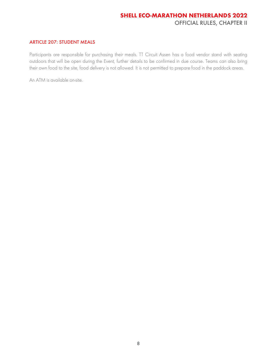#### <span id="page-8-0"></span>ARTICLE 207: STUDENT MEALS

Participants are responsible for purchasing their meals. TT Circuit Assen has a food vendor stand with seating outdoors that will be open during the Event, further details to be confirmed in due course. Teams can also bring their own food to the site, food delivery is not allowed. It is not permitted to prepare food in the paddock areas.

An ATM is available on-site.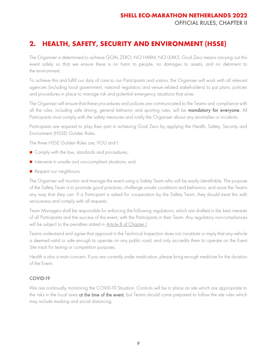# **2. HEALTH, SAFETY, SECURITY AND ENVIRONMENT (HSSE)**

The Organiser is determined to achieve GOAL ZERO, NO HARM, NO LEAKS. Goal Zero means carrying out this event safely so that we ensure there is no harm to people, no damages to assets, and no detriment to the environment.

To achieve this and fulfill our duty of care to our Participants and visitors, the Organiser will work with all relevant agencies (including local government, national regulators and venue related stakeholders) to put plans, policies and procedures in place to manage risk and potential emergency situations that arise.

The Organiser will ensure that these procedures and policies are communicated to the Teams and compliance with all the rules, including safe driving, general behavior and sporting rules, will be **mandatory for everyone**. All Participants must comply with the safety measures and notify the Organiser about any anomalies or incidents.

Participants are required to play their part in achieving Goal Zero by applying the Health, Safety, Security and Environment (HSSE) Golden Rules.

The three HSSE Golden Rules are, YOU and I:

- Comply with the law, standards and procedures;
- Intervene in unsafe and non-compliant situations; and
- Respect our neighbours.

The Organiser will monitor and manage the event using a Safety Team who will be easily identifiable. The purpose of the Safety Team is to promote good practices, challenge unsafe conditions and behaviors, and assist the Teams any way that they can. If a Participant is asked for cooperation by the Safety Team, they should treat this with seriousness and comply with all requests.

Team Managers shall be responsible for enforcing the following regulations, which are drafted in the best interests of all Participants and the success of the event, with the Participants in their Team. Any regulatory non-compliances will be subject to the penalties stated in [Article 8 of Chapter I.](https://base.makethefuture.shell/en_gb/service/api/home/shell-eco-marathon/global-rules/_jcr_content/root/content/document_listing/items/download_595134961.stream/1630485146156/38a7abe7331aaa24603d0e8b158565cc726ab78d/shell-eco-marathon-2022-official-rules-chapter-i.pdf)

Teams understand and agree that approval in the Technical Inspection does not constitute or imply that any vehicle is deemed valid or safe enough to operate on any public road, and only accredits them to operate on the Event Site track for testing or competition purposes.

Health is also a main concern. If you are currently under medication, please bring enough medicine for the duration of the Event.

#### COVID-19

We are continually monitoring the COVID-19 Situation. Controls will be in place on site which are appropriate to the risks in the local area at the time of the event, but Teams should come prepared to follow the site rules which may include masking and social distancing.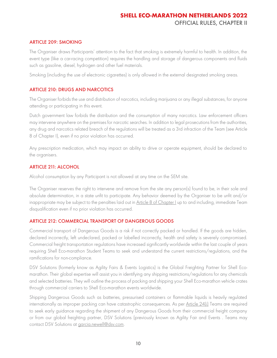#### <span id="page-10-0"></span>ARTICLE 209: SMOKING

The Organiser draws Participants' attention to the fact that smoking is extremely harmful to health. In addition, the event type (like a car-racing competition) requires the handling and storage of dangerous components and fluids such as gasoline, diesel, hydrogen and other fuel materials.

Smoking (including the use of electronic cigarettes) is only allowed in the external designated smoking areas.

#### <span id="page-10-1"></span>ARTICLE 210: DRUGS AND NARCOTICS

The Organiser forbids the use and distribution of narcotics, including marijuana or any illegal substances, for anyone attending or participating in this event.

Dutch government law forbids the distribution and the consumption of many narcotics. Law enforcement officers may intervene anywhere on the premises for narcotic searches. In addition to legal prosecutions from the authorities, any drug and narcotics related breach of the regulations will be treated as a 3rd infraction of the Team (see [Article](https://base.makethefuture.shell/en_gb/service/api/home/shell-eco-marathon/global-rules/_jcr_content/root/content/document_listing/items/download_595134961.stream/1630485146156/38a7abe7331aaa24603d0e8b158565cc726ab78d/shell-eco-marathon-2022-official-rules-chapter-i.pdf)  [8 of Chapter I\)](https://base.makethefuture.shell/en_gb/service/api/home/shell-eco-marathon/global-rules/_jcr_content/root/content/document_listing/items/download_595134961.stream/1630485146156/38a7abe7331aaa24603d0e8b158565cc726ab78d/shell-eco-marathon-2022-official-rules-chapter-i.pdf), even if no prior violation has occurred.

Any prescription medication, which may impact an ability to drive or operate equipment, should be declared to the organisers.

#### <span id="page-10-2"></span>ARTICLE 211: ALCOHOL

Alcohol consumption by any Participant is not allowed at any time on the SEM site.

The Organiser reserves the right to intervene and remove from the site any person(s) found to be, in their sole and absolute determination, in a state unfit to participate. Any behavior deemed by the Organiser to be unfit and/or inappropriate may be subject to the penalties laid out i[n Article 8 of Chapter I](https://base.makethefuture.shell/en_gb/service/api/home/shell-eco-marathon/global-rules/_jcr_content/root/content/document_listing/items/download_595134961.stream/1630485146156/38a7abe7331aaa24603d0e8b158565cc726ab78d/shell-eco-marathon-2022-official-rules-chapter-i.pdf) up to and including, immediate Team disqualification even if no prior violation has occurred.

#### <span id="page-10-3"></span>ARTICLE 212: COMMERCIAL TRANSPORT OF DANGEROUS GOODS

Commercial transport of Dangerous Goods is a risk if not correctly packed or handled. If the goods are hidden, declared incorrectly, left undeclared, packed or labelled incorrectly, health and safety is severely compromised. Commercial freight transportation regulations have increased significantly worldwide within the last couple of years requiring Shell Eco-marathon Student Teams to seek and understand the current restrictions/regulations, and the ramifications for non-compliance.

DSV Solutions (formerly know as Agility Fairs & Events Logistics) is the Global Freighting Partner for Shell Ecomarathon. Their global expertise will assist you in identifying any shipping restrictions/regulations for any chemicals and selected batteries. They will outline the process of packing and shipping your Shell Eco-marathon vehicle crates through commercial carriers to Shell Eco-marathon events worldwide.

Shipping Dangerous Goods such as batteries, pressurised containers or flammable liquids is heavily regulated internationally as improper packing can have catastrophic consequences. As per [Article 24\(i\)](https://base.makethefuture.shell/en_gb/service/api/home/shell-eco-marathon/global-rules/_jcr_content/root/content/document_listing/items/download_595134961.stream/1630485146156/38a7abe7331aaa24603d0e8b158565cc726ab78d/shell-eco-marathon-2022-official-rules-chapter-i.pdf) Teams are required to seek early guidance regarding the shipment of any Dangerous Goods from their commercial freight company or from our global freighting partner, DSV Solutions (previously known as Agility Fair and Events . Teams may contact DSV Solutions at garcia.newell@dsv.com.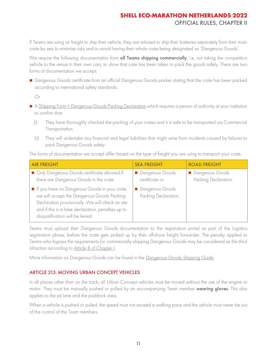If Teams are using air freight to ship their vehicle, they are advised to ship their batteries separately from their main crate by sea to minimise risks and to avoid having their whole crate being designated as 'Dangerous Goods'.

We require the following documentation from all Teams shipping commercially, i.e. not taking the competition vehicle to the venue in their own cars, to show that care has been taken to pack the goods safely. There are two forms of documentation we accept:

■ Dangerous Goods certificate from an official Dangerous Goods packer stating that the crate has been packed according to international safety standards.

Or

- [A Shipping Form + Dangerous Goods Packing Declaration](https://register.makethefuture.shell/content/dam/sem-aem/sem-2022/shell-eco-marathon-europe-2022/Shell%20Eco-marathon%20Netherlands%202022%20-%20Shipping%20Form%20and%20DG%20Packing%20Declaration.pdf) which requires a person of authority at your institution to confirm that
	- (i) They have thoroughly checked the packing of your crates and it is safe to be transported via Commercial Transportation.
	- (ii) They will undertake any financial and legal liabilities that might arise from incidents caused by failures to pack Dangerous Goods safely.

The forms of documentation we accept differ based on the type of freight you are using to transport your crate.

| <b>AIR FREIGHT</b>                                                                                                                                                                                                                         | <b>SEA FREIGHT</b>                     | <b>ROAD FREIGHT</b>                    |
|--------------------------------------------------------------------------------------------------------------------------------------------------------------------------------------------------------------------------------------------|----------------------------------------|----------------------------------------|
| Only Dangerous Goods certificate allowed if<br>there are Dangerous Goods in the crate                                                                                                                                                      | Dangerous Goods<br>certificate or      | Dangerous Goods<br>Packing Declaration |
| If you have no Dangerous Goods in your crate,<br>we will accept the Dangerous Goods Packing<br>Declaration provisionally. We will check on site<br>and if this is a false declaration, penalties up to<br>disqualification will be levied. | Dangerous Goods<br>Packing Declaration |                                        |

Teams must upload their Dangerous Goods documentation to the registration portal as part of the logistics registration phase, before the crate gets picked up by their off-shore freight forwarder. The penalty applied to Teams who bypass the requirements for commercially shipping Dangerous Goods may be considered as the third infraction according to [Article 8 of Chapter I.](https://base.makethefuture.shell/en_gb/service/api/home/shell-eco-marathon/global-rules/_jcr_content/root/content/document_listing/items/download_595134961.stream/1630485146156/38a7abe7331aaa24603d0e8b158565cc726ab78d/shell-eco-marathon-2022-official-rules-chapter-i.pdf)

More information on Dangerous Goods can be found in the [Dangerous Goods Shipping Guide.](https://register.makethefuture.shell/content/dam/sem-aem/sem-2022/shell-eco-marathon-europe-2022/Shell%20Eco-marathon%202022%20Dangerous%20Goods%20Guide%20-%20Europe%20and%20Africa.pdf)

#### <span id="page-11-0"></span>ARTICLE 213: MOVING URBAN CONCEPT VEHICLES

In all places other than on the track, all Urban Concept vehicles must be moved without the use of the engine or motor. They must be manually pushed or pulled by an accompanying Team member wearing gloves. This also applies to the pit lane and the paddock area.

When a vehicle is pushed or pulled, the speed must not exceed a walking pace and the vehicle must never be out of the control of the Team members.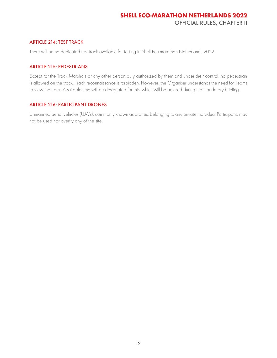#### <span id="page-12-0"></span>ARTICLE 214: TEST TRACK

There will be no dedicated test track available for testing in Shell Eco-marathon Netherlands 2022.

#### <span id="page-12-1"></span>ARTICLE 215: PEDESTRIANS

Except for the Track Marshals or any other person duly authorized by them and under their control, no pedestrian is allowed on the track. Track reconnaissance is forbidden. However, the Organiser understands the need for Teams to view the track. A suitable time will be designated for this, which will be advised during the mandatory briefing.

#### <span id="page-12-2"></span>ARTICLE 216: PARTICIPANT DRONES

Unmanned aerial vehicles (UAVs), commonly known as drones, belonging to any private individual Participant, may not be used nor overfly any of the site.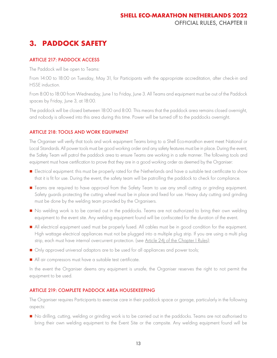# <span id="page-13-0"></span>**3. PADDOCK SAFETY**

#### <span id="page-13-1"></span>ARTICLE 217: PADDOCK ACCESS

The Paddock will be open to Teams:

From 14:00 to 18:00 on Tuesday, May 31, for Participants with the appropriate accreditation, after check-in and HSSE induction.

From 8:00 to 18:00 from Wednesday, June 1 to Friday, June 3. All Teams and equipment must be out of the Paddock spaces by Friday, June 3, at 18:00.

The paddock will be closed between 18:00 and 8:00. This means that the paddock area remains closed overnight, and nobody is allowed into this area during this time. Power will be turned off to the paddocks overnight.

#### <span id="page-13-2"></span>ARTICLE 218: TOOLS AND WORK EQUIPMENT

The Organiser will verify that tools and work equipment Teams bring to a Shell Eco-marathon event meet National or Local Standards. All power tools must be good working order and any safety features must be in place. During the event, the Safety Team will patrol the paddock area to ensure Teams are working in a safe manner. The following tools and equipment must have certification to prove that they are in a good working order as deemed by the Organiser:

- Electrical equipment: this must be properly rated for the Netherlands and have a suitable test certificate to show that it is fit for use. During the event, the safety team will be patrolling the paddock to check for compliance.
- Teams are required to have approval from the Safety Team to use any small cutting or grinding equipment. Safety guards protecting the cutting wheel must be in place and fixed for use. Heavy duty cutting and grinding must be done by the welding team provided by the Organisers.
- No welding work is to be carried out in the paddocks. Teams are not authorized to bring their own welding equipment to the event site. Any welding equipment found will be confiscated for the duration of the event.
- All electrical equipment used must be properly fused. All cables must be in good condition for the equipment. High wattage electrical appliances must not be plugged into a multiple plug strip. If you are using a multi plug strip, each must have internal overcurrent protection. (see [Article 24j of](https://base.makethefuture.shell/en_gb/service/api/home/shell-eco-marathon/global-rules/_jcr_content/root/content/document_listing/items/download_595134961.stream/1630485146156/38a7abe7331aaa24603d0e8b158565cc726ab78d/shell-eco-marathon-2022-official-rules-chapter-i.pdf) the Chapter I Rules);
- Only approved universal adaptors are to be used for all appliances and power tools;
- All air compressors must have a suitable test certificate.

In the event the Organiser deems any equipment is unsafe, the Organiser reserves the right to not permit the equipment to be used.

#### <span id="page-13-3"></span>ARTICLE 219: COMPLETE PADDOCK AREA HOUSEKEEPING

The Organiser requires Participants to exercise care in their paddock space or garage, particularly in the following aspects:

■ No drilling, cutting, welding or grinding work is to be carried out in the paddocks. Teams are not authorised to bring their own welding equipment to the Event Site or the campsite. Any welding equipment found will be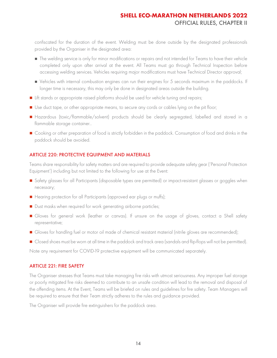confiscated for the duration of the event. Welding must be done outside by the designated professionals provided by the Organiser in the designated area:

- The welding service is only for minor modifications or repairs and not intended for Teams to have their vehicle completed only upon after arrival at the event. All Teams must go through Technical Inspection before accessing welding services. Vehicles requiring major modifications must have Technical Director approval;
- Vehicles with internal combustion engines can run their engines for 5 seconds maximum in the paddocks. If longer time is necessary, this may only be done in designated areas outside the building.
- Lift stands or appropriate raised platforms should be used for vehicle tuning and repairs;
- Use duct tape, or other appropriate means, to secure any cords or cables lying on the pit floor;
- Hazardous (toxic/flammable/solvent) products should be clearly segregated, labelled and stored in a flammable storage container..
- Cooking or other preparation of food is strictly forbidden in the paddock. Consumption of food and drinks in the paddock should be avoided.

#### <span id="page-14-0"></span>ARTICLE 220: PROTECTIVE EQUIPMENT AND MATERIALS

Teams share responsibility for safety matters and are required to provide adequate safety gear ('Personal Protection Equipment') including but not limited to the following for use at the Event:

- Safety glasses for all Participants (disposable types are permitted) or impact-resistant glasses or goggles when necessary;
- Hearing protection for all Participants (approved ear plugs or muffs);
- Dust masks when required for work generating airborne particles;
- Gloves for general work (leather or canvas). If unsure on the usage of gloves, contact a Shell safety representative;
- Gloves for handling fuel or motor oil made of chemical resistant material (nitrile gloves are recommended);
- Closed shoes must be worn at all time in the paddock and track area (sandals and flip-flops will not be permitted).

Note any requirement for COVID-19 protective equipment will be communicated separately.

#### <span id="page-14-1"></span>ARTICLE 221: FIRE SAFETY

The Organiser stresses that Teams must take managing fire risks with utmost seriousness. Any improper fuel storage or poorly mitigated fire risks deemed to contribute to an unsafe condition will lead to the removal and disposal of the offending items. At the Event, Teams will be briefed on rules and guidelines for fire safety. Team Managers will be required to ensure that their Team strictly adheres to the rules and guidance provided.

The Organiser will provide fire extinguishers for the paddock area.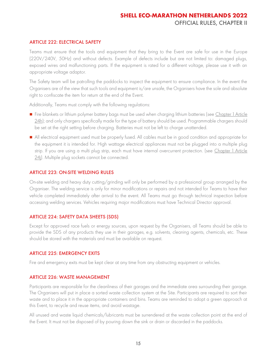#### <span id="page-15-0"></span>ARTICLE 222: ELECTRICAL SAFETY

Teams must ensure that the tools and equipment that they bring to the Event are safe for use in the Europe (220V/240V, 50Hz) and without defects. Example of defects include but are not limited to: damaged plugs, exposed wires and malfunctioning parts. If the equipment is rated for a different voltage, please use it with an appropriate voltage adaptor.

The Safety team will be patrolling the paddocks to inspect the equipment to ensure compliance. In the event the Organisers are of the view that such tools and equipment is/are unsafe, the Organisers have the sole and absolute right to confiscate the item for return at the end of the Event.

Additionally, Teams must comply with the following regulations:

- Fire blankets or lithium polymer battery bags must be used when charging lithium batteries (see Chapter 1 Article  $24h$ ); and only chargers specifically made for the type of battery should be used. Programmable chargers should be set at the right setting before charging. Batteries must not be left to charge unattended.
- All electrical equipment used must be properly fused. All cables must be in good condition and appropriate for the equipment it is intended for. High wattage electrical appliances must not be plugged into a multiple plug strip. If you are using a multi plug strip, each must have internal overcurrent protection. (see Chapter 1 Article 24i). Multiple plug sockets cannot be connected.

#### <span id="page-15-1"></span>ARTICLE 223: ON-SITE WELDING RULES

On-site welding and heavy duty cutting/grinding will only be performed by a professional group arranged by the Organiser. The welding service is only for minor modifications or repairs and not intended for Teams to have their vehicle completed immediately after arrival to the event. All Teams must go through technical inspection before accessing welding services. Vehicles requiring major modifications must have Technical Director approval.

#### <span id="page-15-2"></span>ARTICLE 224: SAFETY DATA SHEETS (SDS)

Except for approved race fuels or energy sources, upon request by the Organisers, all Teams should be able to provide the SDS of any products they use in their garages, e.g. solvents, cleaning agents, chemicals, etc. These should be stored with the materials and must be available on request.

#### <span id="page-15-3"></span>ARTICLE 225: EMERGENCY EXITS

Fire and emergency exits must be kept clear at any time from any obstructing equipment or vehicles.

#### <span id="page-15-4"></span>ARTICLE 226: WASTE MANAGEMENT

Participants are responsible for the cleanliness of their garages and the immediate area surrounding their garage. The Organisers will put in place a sorted waste collection system at the Site. Participants are required to sort their waste and to place it in the appropriate containers and bins. Teams are reminded to adopt a green approach at this Event, to recycle and reuse items, and avoid wastage.

All unused and waste liquid chemicals/lubricants must be surrendered at the waste collection point at the end of the Event. It must not be disposed of by pouring down the sink or drain or discarded in the paddocks.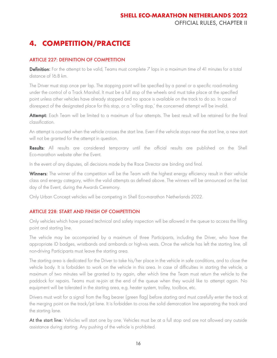# <span id="page-16-0"></span>**4. COMPETITION/PRACTICE**

#### <span id="page-16-1"></span>ARTICLE 227: DEFINITION OF COMPETITION

**Definition:** For the attempt to be valid, Teams must complete  $\frac{7}{1}$  laps in a maximum time of 41 minutes for a total distance of 16.8 km.

The Driver must stop once per lap. The stopping point will be specified by a panel or a specific road-marking under the control of a Track Marshal. It must be a full stop of the wheels and must take place at the specified point unless other vehicles have already stopped and no space is available on the track to do so. In case of disrespect of the designated place for this stop, or a 'rolling stop,' the concerned attempt will be invalid.

Attempt: Each Team will be limited to a maximum of four attempts. The best result will be retained for the final classification.

An attempt is counted when the vehicle crosses the start line. Even if the vehicle stops near the start line, a new start will not be granted for the attempt in question.

Results: All results are considered temporary until the official results are published on the Shell Eco-marathon website after the Event.

In the event of any disputes, all decisions made by the Race Director are binding and final.

Winners: The winner of the competition will be the Team with the highest energy efficiency result in their vehicle class and energy category, within the valid attempts as defined above. The winners will be announced on the last day of the Event, during the Awards Ceremony.

Only Urban Concept vehicles will be competing in Shell Eco-marathon Netherlands 2022.

#### <span id="page-16-2"></span>ARTICLE 228: START AND FINISH OF COMPETITION

Only vehicles which have passed technical and safety inspection will be allowed in the queue to access the filling point and starting line.

The vehicle may be accompanied by a maximum of three Participants, including the Driver, who have the appropriate ID badges, wristbands and armbands or high-vis vests. Once the vehicle has left the starting line, all non-driving Participants must leave the starting area.

The starting area is dedicated for the Driver to take his/her place in the vehicle in safe conditions, and to close the vehicle body. It is forbidden to work on the vehicle in this area. In case of difficulties in starting the vehicle, a maximum of two minutes will be granted to try again, after which time the Team must return the vehicle to the paddock for repairs. Teams must re-join at the end of the queue when they would like to attempt again. No equipment will be tolerated in the starting area, e.g. heater system, trolley, toolbox, etc.

Drivers must wait for a signal from the flag bearer (green flag) before starting and must carefully enter the track at the merging point on the track/pit lane. It is forbidden to cross the solid demarcation line separating the track and the starting lane.

At the start line: Vehicles will start one by one. Vehicles must be at a full stop and are not allowed any outside assistance during starting. Any pushing of the vehicle is prohibited.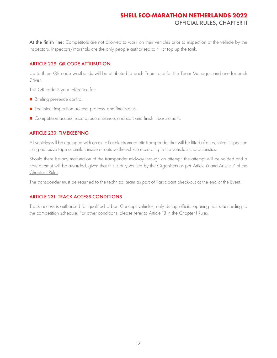At the finish line: Competitors are not allowed to work on their vehicles prior to inspection of the vehicle by the Inspectors. Inspectors/marshals are the only people authorised to fill or top up the tank.

#### <span id="page-17-0"></span>ARTICLE 229: QR CODE ATTRIBUTION

Up to three QR code wristbands will be attributed to each Team: one for the Team Manager, and one for each Driver.

This QR code is your reference for:

- Briefing presence control.
- Technical inspection access, process, and final status.
- Competition access, race queue entrance, and start and finish measurement.

#### <span id="page-17-1"></span>ARTICLE 230: TIMEKEEPING

All vehicles will be equipped with an extra-flat electromagnetic transponder that will be fitted after technical inspection using adhesive tape or similar, inside or outside the vehicle according to the vehicle's characteristics.

Should there be any malfunction of the transponder midway through an attempt, the attempt will be voided and a new attempt will be awarded, given that this is duly verified by the Organisers as per Article 6 and Article 7 of the [Chapter I Rules.](https://base.makethefuture.shell/en_gb/service/api/home/shell-eco-marathon/global-rules/_jcr_content/root/content/document_listing/items/download_595134961.stream/1630485146156/38a7abe7331aaa24603d0e8b158565cc726ab78d/shell-eco-marathon-2022-official-rules-chapter-i.pdf)

The transponder must be returned to the technical team as part of Participant check-out at the end of the Event.

#### <span id="page-17-2"></span>ARTICLE 231: TRACK ACCESS CONDITIONS

Track access is authorised for qualified Urban Concept vehicles, only during official opening hours according to the competition schedule. For other conditions, please refer to Article 13 in the [Chapter I Rules.](https://base.makethefuture.shell/en_gb/service/api/home/shell-eco-marathon/global-rules/_jcr_content/root/content/document_listing/items/download_595134961.stream/1630485146156/38a7abe7331aaa24603d0e8b158565cc726ab78d/shell-eco-marathon-2022-official-rules-chapter-i.pdf)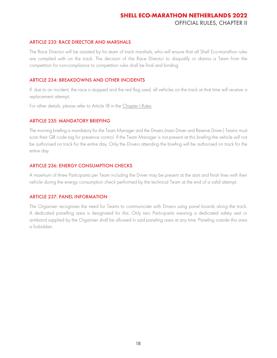#### <span id="page-18-0"></span>ARTICLE 233: RACE DIRECTOR AND MARSHALS

The Race Director will be assisted by his team of track marshals, who will ensure that all Shell Eco-marathon rules are complied with on the track. The decision of the Race Director to disqualify or dismiss a Team from the competition for non-compliance to competition rules shall be final and binding.

#### <span id="page-18-1"></span>ARTICLE 234: BREAKDOWNS AND OTHER INCIDENTS

If, due to an incident, the race is stopped and the red flag used, all vehicles on the track at that time will receive a replacement attempt.

For other details, please refer to Article 18 in the [Chapter I Rules.](https://base.makethefuture.shell/en_gb/service/api/home/shell-eco-marathon/global-rules/_jcr_content/root/content/document_listing/items/download_595134961.stream/1630485146156/38a7abe7331aaa24603d0e8b158565cc726ab78d/shell-eco-marathon-2022-official-rules-chapter-i.pdf)

#### <span id="page-18-2"></span>ARTICLE 235: MANDATORY BRIEFING

The morning briefing is mandatory for the Team Manager and the Drivers (main Driver and Reserve Driver.) Teams must scan their QR code tag for presence control. If the Team Manager is not present at this briefing the vehicle will not be authorised on track for the entire day. Only the Drivers attending the briefing will be authorised on track for the entire day.

#### <span id="page-18-3"></span>ARTICLE 236: ENERGY CONSUMPTION CHECKS

A maximum of three Participants per Team including the Driver may be present at the start and finish lines with their vehicle during the energy consumption check performed by the technical Team at the end of a valid attempt.

#### <span id="page-18-4"></span>ARTICLE 237: PANEL INFORMATION

The Organiser recognises the need for Teams to communicate with Drivers using panel boards along the track. A dedicated panelling area is designated for this. Only two Participants wearing a dedicated safety vest or armband supplied by the Organiser shall be allowed in said paneling area at any time. Paneling outside this area is forbidden.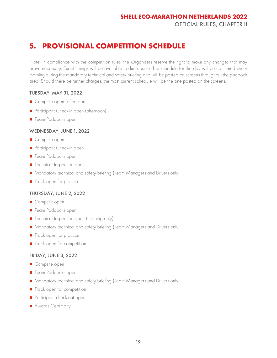# <span id="page-19-0"></span>**5. PROVISIONAL COMPETITION SCHEDULE**

Note: In compliance with the competition rules, the Organisers reserve the right to make any changes that may prove necessary. Exact timings will be available in due course. The schedule for the day will be confirmed every morning during the mandatory technical and safety briefing and will be posted on screens throughout the paddock area. Should there be further charges, the most current schedule will be the one posted on the screens.

#### TUESDAY, MAY 31, 2022

- Campsite open (afternoon)
- Participant Check-in open (afternoon)
- Team Paddocks open

#### WEDNESDAY, JUNE 1, 2022

- Campsite open
- Participant Check-in open
- Team Paddocks open
- Technical Inspection open
- Mandatory technical and safety briefing (Team Managers and Drivers only)
- Track open for practice

#### THURSDAY, JUNE 2, 2022

- Campsite open
- Team Paddocks open
- Technical Inspection open (morning only)
- Mandatory technical and safety briefing (Team Managers and Drivers only)
- Track open for practice
- Track open for competition

#### FRIDAY, JUNE 3, 2022

- Campsite open
- Team Paddocks open
- Mandatory technical and safety briefing (Team Managers and Drivers only)
- Track open for competition
- Participant check-out open
- Awards Ceremony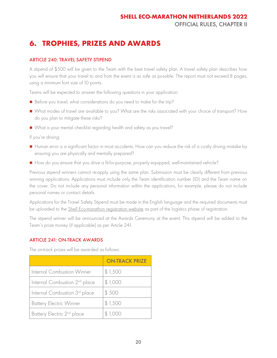# <span id="page-20-0"></span>**6. TROPHIES, PRIZES AND AWARDS**

#### <span id="page-20-1"></span>ARTICLE 240: TRAVEL SAFETY STIPEND

A stipend of \$500 will be given to the Team with the best travel safety plan. A travel safety plan describes how you will ensure that your travel to and from the event is as safe as possible. The report must not exceed 8 pages, using a minimum font size of 10 points.

Teams will be expected to answer the following questions in your application:

- Before you travel, what considerations do you need to make for the trip?
- What modes of travel are available to you? What are the risks associated with your choice of transport? How do you plan to mitigate these risks?
- What is your mental checklist regarding health and safety as you travel?

If you're driving:

- Human error is a significant factor in most accidents. How can you reduce the risk of a costly driving mistake by ensuring you are physically and mentally prepared?
- How do you ensure that you drive a fit-for-purpose, properly equipped, well-maintained vehicle?

Previous stipend winners cannot re-apply using the same plan. Submission must be clearly different from previous winning applications. Applications must include only the Team identification number (ID) and the Team name on the cover. Do not include any personal information within the applications, for example, please do not include personal names or contact details.

Applications for the Travel Safety Stipend must be made in the English language and the required documents must be uploaded to the **Shell Eco-marathon registration website** as part of the logistics phase of registration.

The stipend winner will be announced at the Awards Ceremony at the event. This stipend will be added to the Team's prize money (if applicable) as per Article 241.

#### <span id="page-20-2"></span>ARTICLE 241: ON-TRACK AWARDS

The on-track prizes will be awarded as follows:

|                                           | <b>ON-TRACK PRIZE</b> |
|-------------------------------------------|-----------------------|
| Internal Combustion Winner                | \$1,500               |
| Internal Combustion 2 <sup>nd</sup> place | \$1,000               |
| Internal Combustion 3 <sup>rd</sup> place | \$500                 |
| <b>Battery Electric Winner</b>            | \$1,500               |
| Battery Electric 2 <sup>nd</sup> place    | \$1,000               |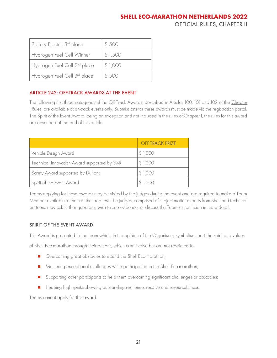### **SHELL ECO-MARATHON NETHERLANDS 2022**

OFFICIAL RULES, CHAPTER II

| Battery Electric 3rd place               | \$500   |
|------------------------------------------|---------|
| Hydrogen Fuel Cell Winner                | \$1,500 |
| Hydrogen Fuel Cell 2 <sup>nd</sup> place | \$1,000 |
| Hydrogen Fuel Cell 3rd place             | \$500   |

#### <span id="page-21-0"></span>ARTICLE 242: OFF-TRACK AWARDS AT THE EVENT

The following first three categories of the Off-Track Awards, described in Articles 100, 101 and 102 of the Chapter [I Rules,](https://base.makethefuture.shell/en_gb/service/api/home/shell-eco-marathon/global-rules/_jcr_content/root/content/document_listing/items/download_595134961.stream/1630485146156/38a7abe7331aaa24603d0e8b158565cc726ab78d/shell-eco-marathon-2022-official-rules-chapter-i.pdf) are available at on-track events only. Submissions for these awards must be made via the registration portal. The Spirit of the Event Award, being an exception and not included in the rules of Chapter I, the rules for this award are described at the end of this article.

|                                              | <b>OFF-TRACK PRIZE</b> |
|----------------------------------------------|------------------------|
| Vehicle Design Award                         | \$1,000                |
| Technical Innovation Award supported by SwRI | \$1,000                |
| Safety Award supported by DuPont             | \$1,000                |
| Spirit of the Event Award                    |                        |

Teams applying for these awards may be visited by the judges during the event and are required to make a Team Member available to them at their request. The judges, comprised of subject-matter experts from Shell and technical partners, may ask further questions, wish to see evidence, or discuss the Team's submission in more detail.

#### SPIRIT OF THE EVENT AWARD

This Award is presented to the team which, in the opinion of the Organisers, symbolises best the spirit and values

of Shell Eco-marathon through their actions, which can involve but are not restricted to:

- Overcoming great obstacles to attend the Shell Eco-marathon;
- Mastering exceptional challenges while participating in the Shell Eco-marathon;
- Supporting other participants to help them overcoming significant challenges or obstacles;
- Keeping high spirits, showing outstanding resilience, resolve and resourcefulness.

Teams cannot apply for this award.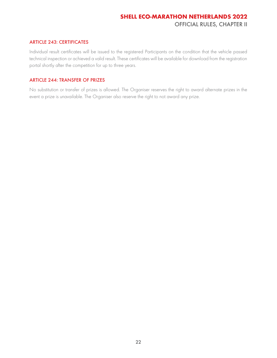#### <span id="page-22-0"></span>ARTICLE 243: CERTIFICATES

Individual result certificates will be issued to the registered Participants on the condition that the vehicle passed technical inspection or achieved a valid result. These certificates will be available for download from the registration portal shortly after the competition for up to three years.

#### <span id="page-22-1"></span>ARTICLE 244: TRANSFER OF PRIZES

No substitution or transfer of prizes is allowed. The Organiser reserves the right to award alternate prizes in the event a prize is unavailable. The Organiser also reserve the right to not award any prize.